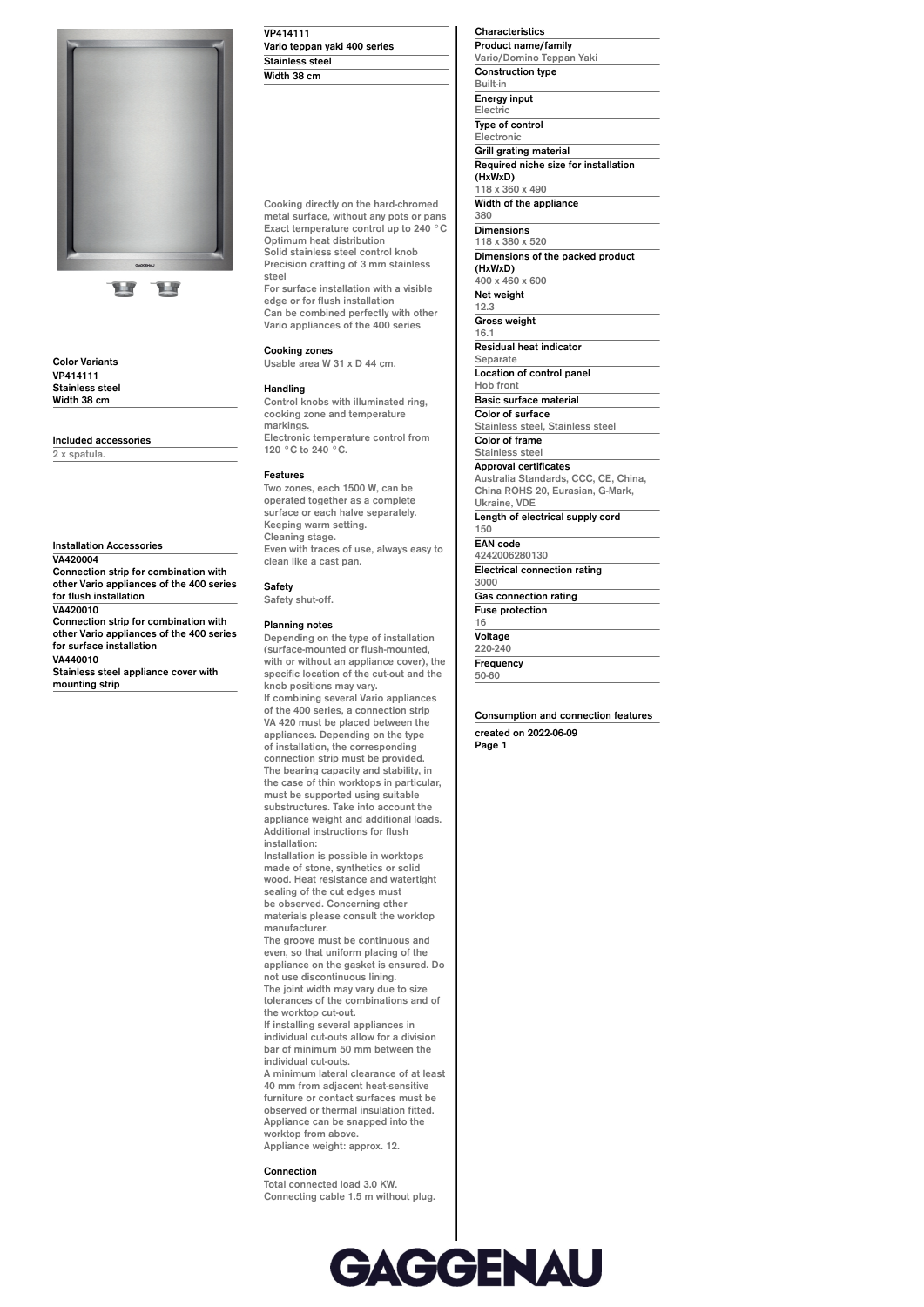

**Color Variants VP414111 Stainless steel Width 38 cm**

**Included accessories**

**Installation Accessories**

**2 x spatula.**

**VA420004 Connection strip for combination with other Vario appliances of the 400 series for flush installation VA420010 Connection strip for combination with other Vario appliances of the 400 series for surface installation VA440010**

**Stainless steel appliance cover with mounting strip**

**VP414111 Vario teppan yaki 400 series Stainless steel**

**Width 38 cm**

**Cooking directly on the hard-chromed metal surface, without any pots or pans Exact temperature control up to 240 °C Optimum heat distribution Solid stainless steel control knob Precision crafting of 3 mm stainless steel**

**For surface installation with a visible edge or for flush installation Can be combined perfectly with other Vario appliances of the 400 series**

#### **Cooking zones**

**Usable area W 31 x D 44 cm.**

#### **Handling**

**Control knobs with illuminated ring, cooking zone and temperature markings. Electronic temperature control from 120 °C to 240 °C.**

#### **Features**

**Two zones, each 1500 W, can be operated together as a complete surface or each halve separately. Keeping warm setting. Cleaning stage. Even with traces of use, always easy to clean like a cast pan.**

**Safety Safety shut-off.**

### **Planning notes**

**Depending on the type of installation (surface-mounted or flush-mounted, with or without an appliance cover), the specific location of the cut-out and the knob positions may vary. If combining several Vario appliances**

**of the 400 series, a connection strip VA 420 must be placed between the appliances. Depending on the type of installation, the corresponding connection strip must be provided. The bearing capacity and stability, in the case of thin worktops in particular, must be supported using suitable substructures. Take into account the appliance weight and additional loads. Additional instructions for flush installation:**

**Installation is possible in worktops made of stone, synthetics or solid wood. Heat resistance and watertight sealing of the cut edges must be observed. Concerning other materials please consult the worktop manufacturer.**

**The groove must be continuous and even, so that uniform placing of the appliance on the gasket is ensured. Do not use discontinuous lining. The joint width may vary due to size**

**tolerances of the combinations and of the worktop cut-out. If installing several appliances in**

**individual cut-outs allow for a division bar of minimum 50 mm between the individual cut-outs.**

**A minimum lateral clearance of at least 40 mm from adjacent heat-sensitive furniture or contact surfaces must be observed or thermal insulation fitted. Appliance can be snapped into the worktop from above. Appliance weight: approx. 12.**

## **Connection**

**Total connected load 3.0 KW. Connecting cable 1.5 m without plug.** **Product name/family Vario/Domino Teppan Yaki Construction type Built-in Energy input Electric Type of control Electronic Grill grating material Required niche size for installation (HxWxD) 118 x 360 x 490 Width of the appliance 380 Dimensions 118 x 380 x 520 Dimensions of the packed product (HxWxD) 400 x 460 x 600 Net weight 12.3 Gross weight 16.1 Residual heat indicator Separate Location of control panel Hob front Basic surface material Color of surface Stainless steel, Stainless steel Color of frame Stainless steel Approval certificates Australia Standards, CCC, CE, China, China ROHS 20, Eurasian, G-Mark, Ukraine, VDE Length of electrical supply cord 150 EAN code 4242006280130 Electrical connection rating 3000 Gas connection rating Fuse protection 16 Voltage**

**Characteristics**

**220-240 Frequency**

**50-60**

**Consumption and connection features created on 2022-06-09 Page 1**

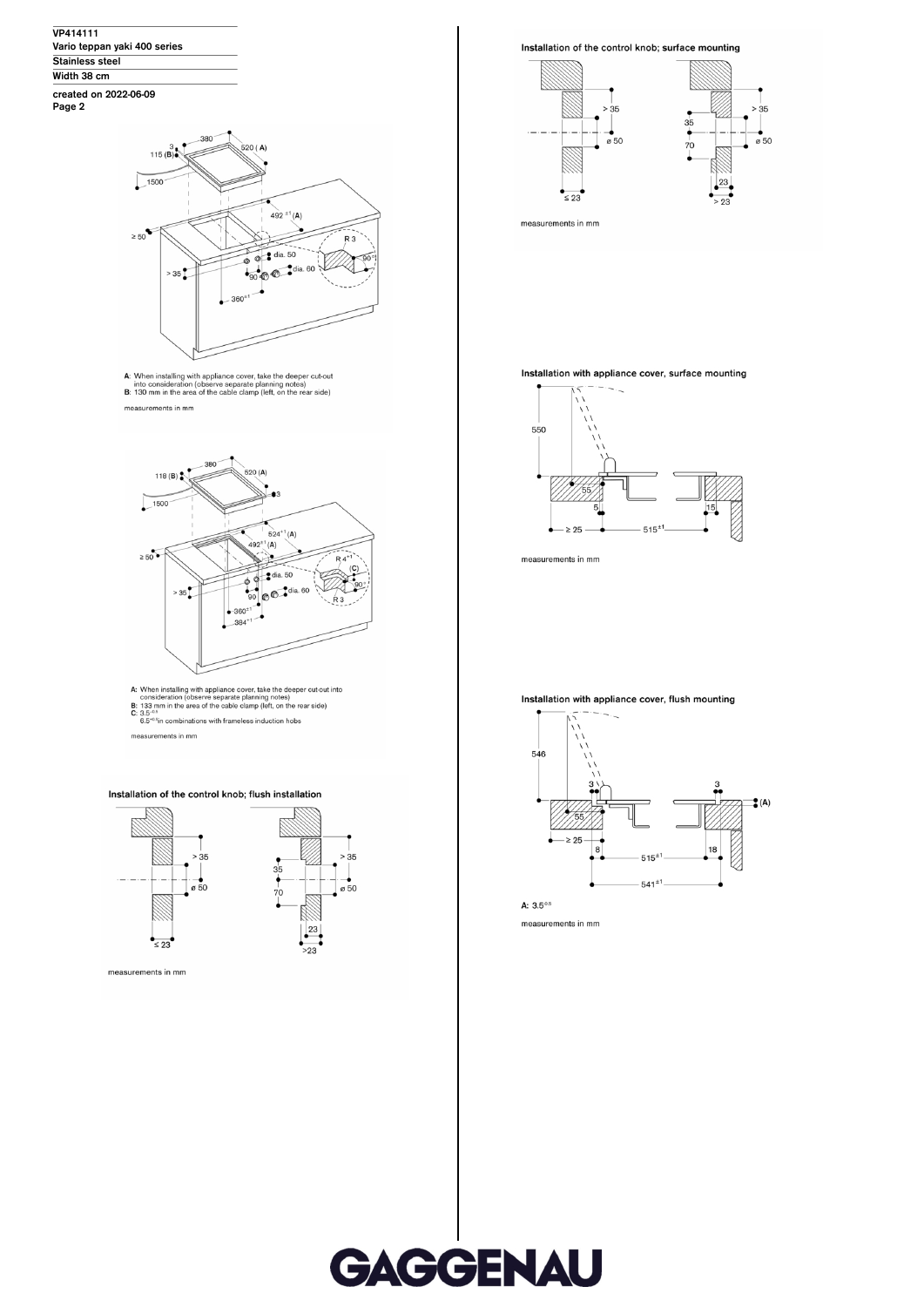VP414111 Vario teppan yaki 400 series Stainless steel Width 38 cm created on 2022-06-09<br>Page 2





A: When installing with appliance cover, take the deeper cut-out<br>into consideration (observe separate planning notes)<br>B: 130 mm in the area of the cable clamp (left, on the rear side) measurements in mm



A: When installing with appliance cover, take the deeper cut-out into<br>consideration (observe separate planning notes)<br>**B:** 133 mm in the area of the cable clamp (left, on the rear side)<br>**C:**  $3.5^{\text{-0.5}}$ <br>6.5<sup>-0.5</sup>in comb

measurements in mm

# Installation of the control knob; flush installation



## Installation of the control knob; surface mounting



Installation with appliance cover, surface mounting



measurements in mm

Installation with appliance cover, flush mounting



A:  $3.5^{0.5}$ measurements in mm